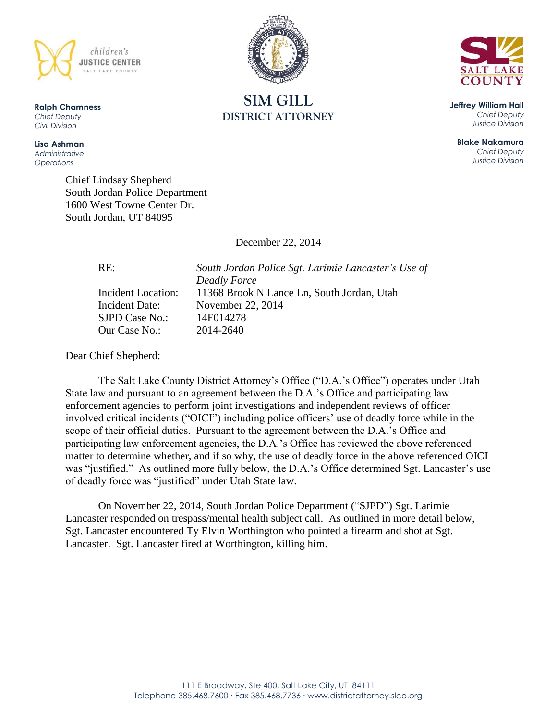



**SIM GILL DISTRICT ATTORNEY**

**Jeffrey William Hall** *Chief Deputy Justice Division*

**Blake Nakamura** *Chief Deputy Justice Division*

**Ralph Chamness**  *Chief Deputy Civil Division*

**Lisa Ashman** *Administrative Operations*

> Chief Lindsay Shepherd South Jordan Police Department 1600 West Towne Center Dr. South Jordan, UT 84095

> > December 22, 2014

Incident Date: November 22, 2014 SJPD Case No.: 14F014278 Our Case No.: 2014-2640

RE: *South Jordan Police Sgt. Larimie Lancaster's Use of Deadly Force* Incident Location: 11368 Brook N Lance Ln, South Jordan, Utah

Dear Chief Shepherd:

The Salt Lake County District Attorney's Office ("D.A.'s Office") operates under Utah State law and pursuant to an agreement between the D.A.'s Office and participating law enforcement agencies to perform joint investigations and independent reviews of officer involved critical incidents ("OICI") including police officers' use of deadly force while in the scope of their official duties. Pursuant to the agreement between the D.A.'s Office and participating law enforcement agencies, the D.A.'s Office has reviewed the above referenced matter to determine whether, and if so why, the use of deadly force in the above referenced OICI was "justified." As outlined more fully below, the D.A.'s Office determined Sgt. Lancaster's use of deadly force was "justified" under Utah State law.

On November 22, 2014, South Jordan Police Department ("SJPD") Sgt. Larimie Lancaster responded on trespass/mental health subject call. As outlined in more detail below, Sgt. Lancaster encountered Ty Elvin Worthington who pointed a firearm and shot at Sgt. Lancaster. Sgt. Lancaster fired at Worthington, killing him.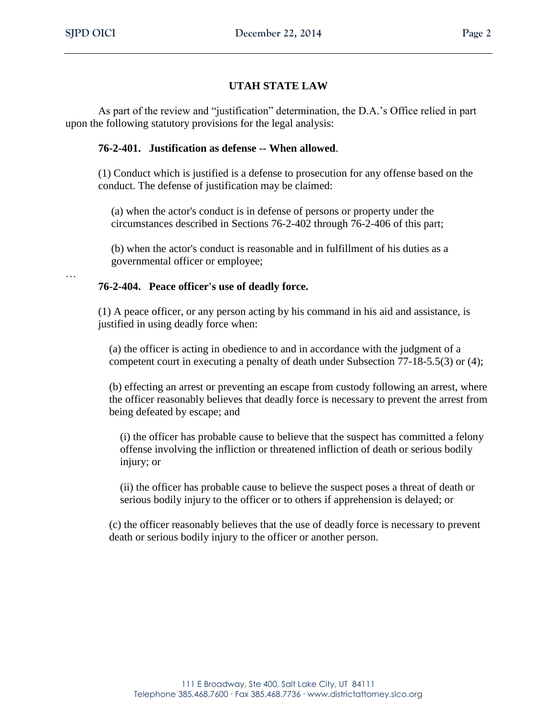# **UTAH STATE LAW**

As part of the review and "justification" determination, the D.A.'s Office relied in part upon the following statutory provisions for the legal analysis:

#### **76-2-401. Justification as defense -- When allowed**.

(1) Conduct which is justified is a defense to prosecution for any offense based on the conduct. The defense of justification may be claimed:

(a) when the actor's conduct is in defense of persons or property under the circumstances described in Sections 76-2-402 through 76-2-406 of this part;

(b) when the actor's conduct is reasonable and in fulfillment of his duties as a governmental officer or employee;

…

#### **76-2-404. Peace officer's use of deadly force.**

(1) A peace officer, or any person acting by his command in his aid and assistance, is justified in using deadly force when:

(a) the officer is acting in obedience to and in accordance with the judgment of a competent court in executing a penalty of death under Subsection 77-18-5.5(3) or (4);

(b) effecting an arrest or preventing an escape from custody following an arrest, where the officer reasonably believes that deadly force is necessary to prevent the arrest from being defeated by escape; and

(i) the officer has probable cause to believe that the suspect has committed a felony offense involving the infliction or threatened infliction of death or serious bodily injury; or

(ii) the officer has probable cause to believe the suspect poses a threat of death or serious bodily injury to the officer or to others if apprehension is delayed; or

(c) the officer reasonably believes that the use of deadly force is necessary to prevent death or serious bodily injury to the officer or another person.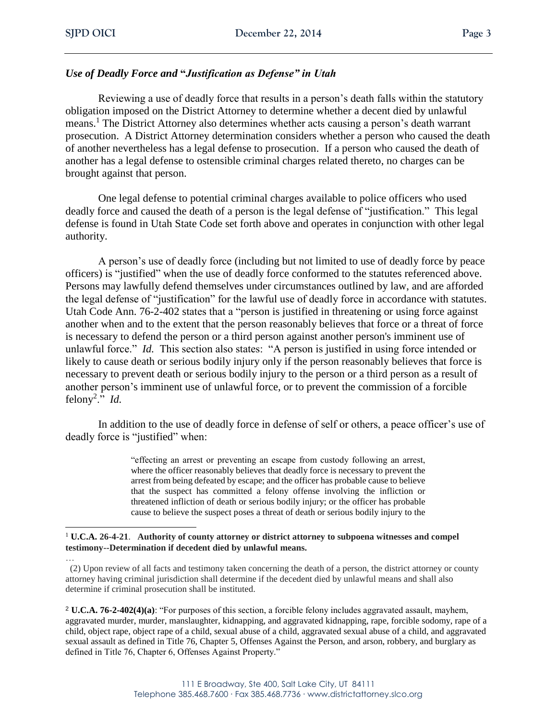### *Use of Deadly Force and* **"***Justification as Defense" in Utah*

Reviewing a use of deadly force that results in a person's death falls within the statutory obligation imposed on the District Attorney to determine whether a decent died by unlawful means.<sup>1</sup> The District Attorney also determines whether acts causing a person's death warrant prosecution. A District Attorney determination considers whether a person who caused the death of another nevertheless has a legal defense to prosecution. If a person who caused the death of another has a legal defense to ostensible criminal charges related thereto, no charges can be brought against that person.

One legal defense to potential criminal charges available to police officers who used deadly force and caused the death of a person is the legal defense of "justification." This legal defense is found in Utah State Code set forth above and operates in conjunction with other legal authority.

A person's use of deadly force (including but not limited to use of deadly force by peace officers) is "justified" when the use of deadly force conformed to the statutes referenced above. Persons may lawfully defend themselves under circumstances outlined by law, and are afforded the legal defense of "justification" for the lawful use of deadly force in accordance with statutes. Utah Code Ann. 76-2-402 states that a "person is justified in threatening or using force against another when and to the extent that the person reasonably believes that force or a threat of force is necessary to defend the person or a third person against another person's imminent use of unlawful force." *Id.* This section also states: "A person is justified in using force intended or likely to cause death or serious bodily injury only if the person reasonably believes that force is necessary to prevent death or serious bodily injury to the person or a third person as a result of another person's imminent use of unlawful force, or to prevent the commission of a forcible felony<sup>2</sup>." *Id.* 

In addition to the use of deadly force in defense of self or others, a peace officer's use of deadly force is "justified" when:

> "effecting an arrest or preventing an escape from custody following an arrest, where the officer reasonably believes that deadly force is necessary to prevent the arrest from being defeated by escape; and the officer has probable cause to believe that the suspect has committed a felony offense involving the infliction or threatened infliction of death or serious bodily injury; or the officer has probable cause to believe the suspect poses a threat of death or serious bodily injury to the

<sup>1</sup> **U.C.A. 26-4-21**. **Authority of county attorney or district attorney to subpoena witnesses and compel testimony--Determination if decedent died by unlawful means.**

… (2) Upon review of all facts and testimony taken concerning the death of a person, the district attorney or county attorney having criminal jurisdiction shall determine if the decedent died by unlawful means and shall also determine if criminal prosecution shall be instituted.

<sup>2</sup> **U.C.A. 76-2-402(4)(a)**: "For purposes of this section, a forcible felony includes aggravated assault, mayhem, aggravated murder, murder, manslaughter, kidnapping, and aggravated kidnapping, rape, forcible sodomy, rape of a child, object rape, object rape of a child, sexual abuse of a child, aggravated sexual abuse of a child, and aggravated sexual assault as defined in Title 76, Chapter 5, Offenses Against the Person, and arson, robbery, and burglary as defined in Title 76, Chapter 6, Offenses Against Property."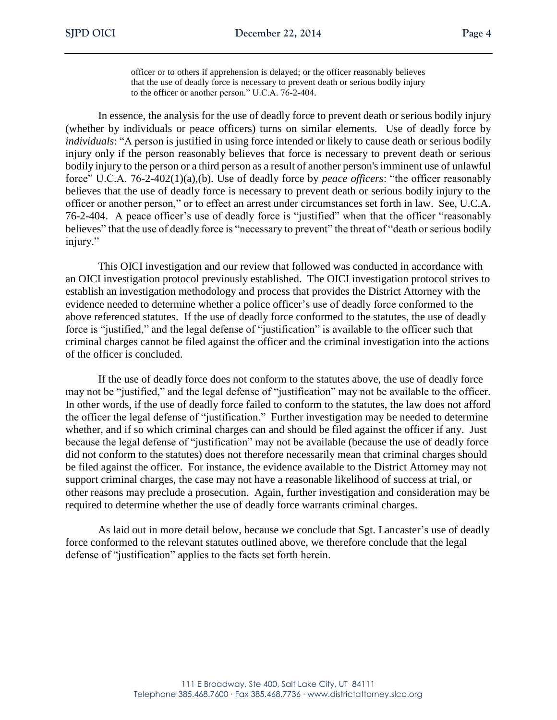officer or to others if apprehension is delayed; or the officer reasonably believes that the use of deadly force is necessary to prevent death or serious bodily injury to the officer or another person." U.C.A. 76-2-404.

In essence, the analysis for the use of deadly force to prevent death or serious bodily injury (whether by individuals or peace officers) turns on similar elements. Use of deadly force by *individuals*: "A person is justified in using force intended or likely to cause death or serious bodily injury only if the person reasonably believes that force is necessary to prevent death or serious bodily injury to the person or a third person as a result of another person's imminent use of unlawful force" U.C.A. 76-2-402(1)(a),(b). Use of deadly force by *peace officers*: "the officer reasonably believes that the use of deadly force is necessary to prevent death or serious bodily injury to the officer or another person," or to effect an arrest under circumstances set forth in law. See, U.C.A. 76-2-404. A peace officer's use of deadly force is "justified" when that the officer "reasonably believes" that the use of deadly force is "necessary to prevent" the threat of "death or serious bodily injury."

This OICI investigation and our review that followed was conducted in accordance with an OICI investigation protocol previously established. The OICI investigation protocol strives to establish an investigation methodology and process that provides the District Attorney with the evidence needed to determine whether a police officer's use of deadly force conformed to the above referenced statutes. If the use of deadly force conformed to the statutes, the use of deadly force is "justified," and the legal defense of "justification" is available to the officer such that criminal charges cannot be filed against the officer and the criminal investigation into the actions of the officer is concluded.

If the use of deadly force does not conform to the statutes above, the use of deadly force may not be "justified," and the legal defense of "justification" may not be available to the officer. In other words, if the use of deadly force failed to conform to the statutes, the law does not afford the officer the legal defense of "justification." Further investigation may be needed to determine whether, and if so which criminal charges can and should be filed against the officer if any. Just because the legal defense of "justification" may not be available (because the use of deadly force did not conform to the statutes) does not therefore necessarily mean that criminal charges should be filed against the officer. For instance, the evidence available to the District Attorney may not support criminal charges, the case may not have a reasonable likelihood of success at trial, or other reasons may preclude a prosecution. Again, further investigation and consideration may be required to determine whether the use of deadly force warrants criminal charges.

As laid out in more detail below, because we conclude that Sgt. Lancaster's use of deadly force conformed to the relevant statutes outlined above, we therefore conclude that the legal defense of "justification" applies to the facts set forth herein.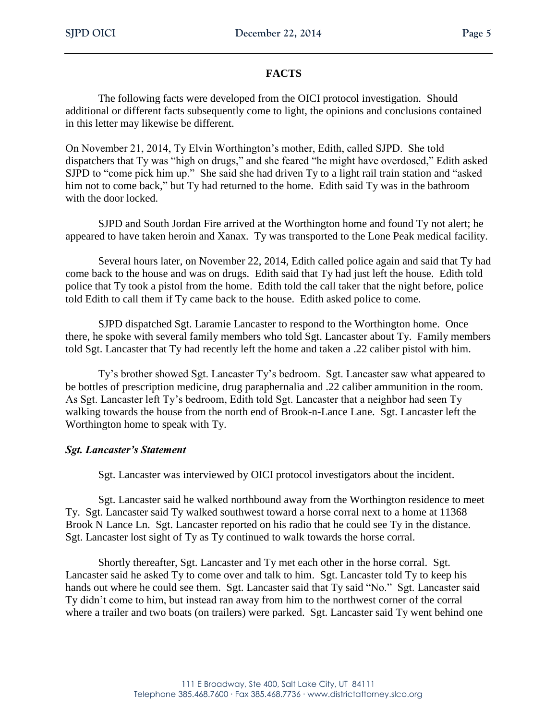## **FACTS**

The following facts were developed from the OICI protocol investigation. Should additional or different facts subsequently come to light, the opinions and conclusions contained in this letter may likewise be different.

On November 21, 2014, Ty Elvin Worthington's mother, Edith, called SJPD. She told dispatchers that Ty was "high on drugs," and she feared "he might have overdosed," Edith asked SJPD to "come pick him up." She said she had driven Ty to a light rail train station and "asked him not to come back," but Ty had returned to the home. Edith said Ty was in the bathroom with the door locked.

SJPD and South Jordan Fire arrived at the Worthington home and found Ty not alert; he appeared to have taken heroin and Xanax. Ty was transported to the Lone Peak medical facility.

Several hours later, on November 22, 2014, Edith called police again and said that Ty had come back to the house and was on drugs. Edith said that Ty had just left the house. Edith told police that Ty took a pistol from the home. Edith told the call taker that the night before, police told Edith to call them if Ty came back to the house. Edith asked police to come.

SJPD dispatched Sgt. Laramie Lancaster to respond to the Worthington home. Once there, he spoke with several family members who told Sgt. Lancaster about Ty. Family members told Sgt. Lancaster that Ty had recently left the home and taken a .22 caliber pistol with him.

Ty's brother showed Sgt. Lancaster Ty's bedroom. Sgt. Lancaster saw what appeared to be bottles of prescription medicine, drug paraphernalia and .22 caliber ammunition in the room. As Sgt. Lancaster left Ty's bedroom, Edith told Sgt. Lancaster that a neighbor had seen Ty walking towards the house from the north end of Brook-n-Lance Lane. Sgt. Lancaster left the Worthington home to speak with Ty.

### *Sgt. Lancaster's Statement*

Sgt. Lancaster was interviewed by OICI protocol investigators about the incident.

Sgt. Lancaster said he walked northbound away from the Worthington residence to meet Ty. Sgt. Lancaster said Ty walked southwest toward a horse corral next to a home at 11368 Brook N Lance Ln. Sgt. Lancaster reported on his radio that he could see Ty in the distance. Sgt. Lancaster lost sight of Ty as Ty continued to walk towards the horse corral.

Shortly thereafter, Sgt. Lancaster and Ty met each other in the horse corral. Sgt. Lancaster said he asked Ty to come over and talk to him. Sgt. Lancaster told Ty to keep his hands out where he could see them. Sgt. Lancaster said that Ty said "No." Sgt. Lancaster said Ty didn't come to him, but instead ran away from him to the northwest corner of the corral where a trailer and two boats (on trailers) were parked. Sgt. Lancaster said Ty went behind one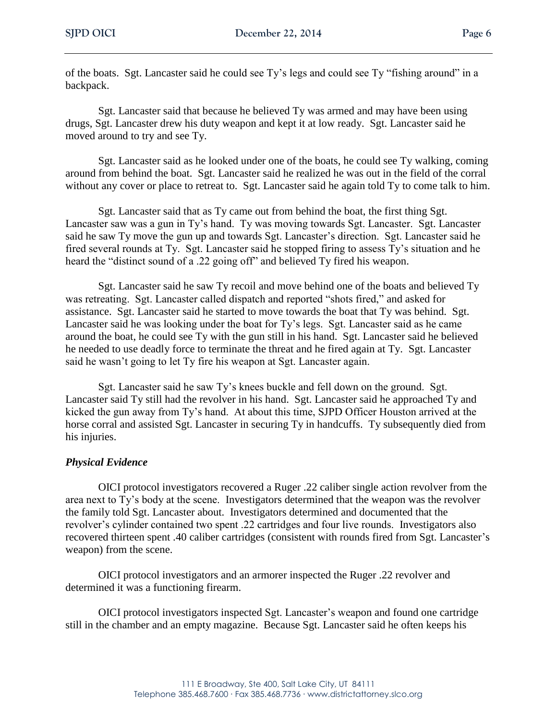of the boats. Sgt. Lancaster said he could see Ty's legs and could see Ty "fishing around" in a backpack.

Sgt. Lancaster said that because he believed Ty was armed and may have been using drugs, Sgt. Lancaster drew his duty weapon and kept it at low ready. Sgt. Lancaster said he moved around to try and see Ty.

Sgt. Lancaster said as he looked under one of the boats, he could see Ty walking, coming around from behind the boat. Sgt. Lancaster said he realized he was out in the field of the corral without any cover or place to retreat to. Sgt. Lancaster said he again told Ty to come talk to him.

Sgt. Lancaster said that as Ty came out from behind the boat, the first thing Sgt. Lancaster saw was a gun in Ty's hand. Ty was moving towards Sgt. Lancaster. Sgt. Lancaster said he saw Ty move the gun up and towards Sgt. Lancaster's direction. Sgt. Lancaster said he fired several rounds at Ty. Sgt. Lancaster said he stopped firing to assess Ty's situation and he heard the "distinct sound of a .22 going off" and believed Ty fired his weapon.

Sgt. Lancaster said he saw Ty recoil and move behind one of the boats and believed Ty was retreating. Sgt. Lancaster called dispatch and reported "shots fired," and asked for assistance. Sgt. Lancaster said he started to move towards the boat that Ty was behind. Sgt. Lancaster said he was looking under the boat for Ty's legs. Sgt. Lancaster said as he came around the boat, he could see Ty with the gun still in his hand. Sgt. Lancaster said he believed he needed to use deadly force to terminate the threat and he fired again at Ty. Sgt. Lancaster said he wasn't going to let Ty fire his weapon at Sgt. Lancaster again.

Sgt. Lancaster said he saw Ty's knees buckle and fell down on the ground. Sgt. Lancaster said Ty still had the revolver in his hand. Sgt. Lancaster said he approached Ty and kicked the gun away from Ty's hand. At about this time, SJPD Officer Houston arrived at the horse corral and assisted Sgt. Lancaster in securing Ty in handcuffs. Ty subsequently died from his injuries.

### *Physical Evidence*

OICI protocol investigators recovered a Ruger .22 caliber single action revolver from the area next to Ty's body at the scene. Investigators determined that the weapon was the revolver the family told Sgt. Lancaster about. Investigators determined and documented that the revolver's cylinder contained two spent .22 cartridges and four live rounds. Investigators also recovered thirteen spent .40 caliber cartridges (consistent with rounds fired from Sgt. Lancaster's weapon) from the scene.

OICI protocol investigators and an armorer inspected the Ruger .22 revolver and determined it was a functioning firearm.

OICI protocol investigators inspected Sgt. Lancaster's weapon and found one cartridge still in the chamber and an empty magazine. Because Sgt. Lancaster said he often keeps his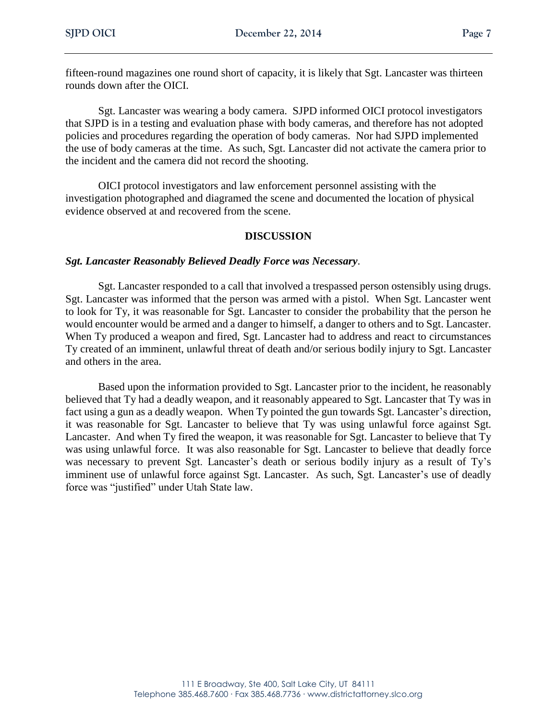fifteen-round magazines one round short of capacity, it is likely that Sgt. Lancaster was thirteen rounds down after the OICI.

Sgt. Lancaster was wearing a body camera. SJPD informed OICI protocol investigators that SJPD is in a testing and evaluation phase with body cameras, and therefore has not adopted policies and procedures regarding the operation of body cameras. Nor had SJPD implemented the use of body cameras at the time. As such, Sgt. Lancaster did not activate the camera prior to the incident and the camera did not record the shooting.

OICI protocol investigators and law enforcement personnel assisting with the investigation photographed and diagramed the scene and documented the location of physical evidence observed at and recovered from the scene.

#### **DISCUSSION**

#### *Sgt. Lancaster Reasonably Believed Deadly Force was Necessary*.

Sgt. Lancaster responded to a call that involved a trespassed person ostensibly using drugs. Sgt. Lancaster was informed that the person was armed with a pistol. When Sgt. Lancaster went to look for Ty, it was reasonable for Sgt. Lancaster to consider the probability that the person he would encounter would be armed and a danger to himself, a danger to others and to Sgt. Lancaster. When Ty produced a weapon and fired, Sgt. Lancaster had to address and react to circumstances Ty created of an imminent, unlawful threat of death and/or serious bodily injury to Sgt. Lancaster and others in the area.

Based upon the information provided to Sgt. Lancaster prior to the incident, he reasonably believed that Ty had a deadly weapon, and it reasonably appeared to Sgt. Lancaster that Ty was in fact using a gun as a deadly weapon. When Ty pointed the gun towards Sgt. Lancaster's direction, it was reasonable for Sgt. Lancaster to believe that Ty was using unlawful force against Sgt. Lancaster. And when Ty fired the weapon, it was reasonable for Sgt. Lancaster to believe that Ty was using unlawful force. It was also reasonable for Sgt. Lancaster to believe that deadly force was necessary to prevent Sgt. Lancaster's death or serious bodily injury as a result of Ty's imminent use of unlawful force against Sgt. Lancaster. As such, Sgt. Lancaster's use of deadly force was "justified" under Utah State law.